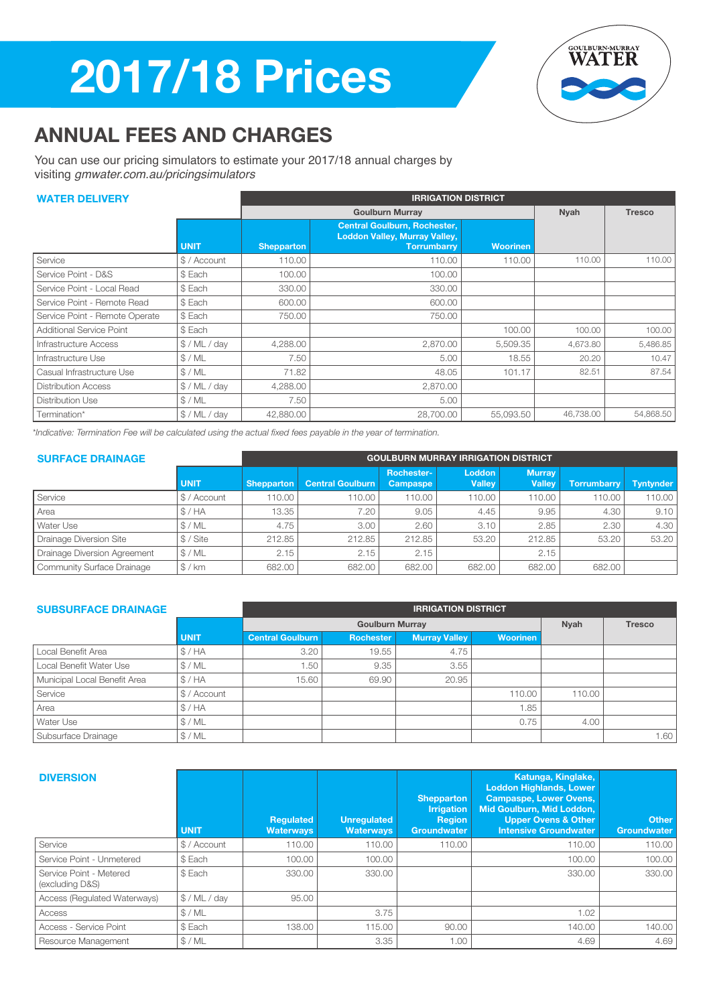# 2017/18 Prices



## ANNUAL FEES AND CHARGES

You can use our pricing simulators to estimate your 2017/18 annual charges by visiting *gmwater.com.au/pricingsimulators*

### WATER DELIVERY **IRRIGATION DISTRICT**

| WAIER VELIVERI                  |             | IN NYATIVN PIƏTNYT |                                                                                                   |                 |               |           |  |  |  |
|---------------------------------|-------------|--------------------|---------------------------------------------------------------------------------------------------|-----------------|---------------|-----------|--|--|--|
|                                 |             |                    | <b>Goulburn Murray</b>                                                                            | <b>Nyah</b>     | <b>Tresco</b> |           |  |  |  |
|                                 | <b>UNIT</b> | <b>Shepparton</b>  | <b>Central Goulburn, Rochester,</b><br><b>Loddon Valley, Murray Valley,</b><br><b>Torrumbarry</b> | <b>Woorinen</b> |               |           |  |  |  |
| Service                         | \$/Account  | 110.00             | 110.00                                                                                            | 110.00          | 110.00        | 110.00    |  |  |  |
| Service Point - D&S             | \$ Each     | 100.00             | 100.00                                                                                            |                 |               |           |  |  |  |
| Service Point - Local Read      | \$ Each     | 330.00             | 330.00                                                                                            |                 |               |           |  |  |  |
| Service Point - Remote Read     | \$ Each     | 600.00             | 600.00                                                                                            |                 |               |           |  |  |  |
| Service Point - Remote Operate  | \$ Each     | 750.00             | 750.00                                                                                            |                 |               |           |  |  |  |
| <b>Additional Service Point</b> | \$ Each     |                    |                                                                                                   | 100.00          | 100.00        | 100.00    |  |  |  |
| Infrastructure Access           | \$/ML/dav   | 4,288.00           | 2,870.00                                                                                          | 5,509.35        | 4.673.80      | 5,486.85  |  |  |  |
| Infrastructure Use              | \$/ML       | 7.50               | 5.00                                                                                              | 18.55           | 20.20         | 10.47     |  |  |  |
| Casual Infrastructure Use       | \$/ML       | 71.82              | 48.05                                                                                             | 101.17          | 82.51         | 87.54     |  |  |  |
| <b>Distribution Access</b>      | \$/ML/dav   | 4,288.00           | 2,870.00                                                                                          |                 |               |           |  |  |  |
| Distribution Use                | \$/ML       | 7.50               | 5.00                                                                                              |                 |               |           |  |  |  |
| Termination*                    | \$/ML/dav   | 42,880.00          | 28,700.00                                                                                         | 55,093.50       | 46,738.00     | 54,868.50 |  |  |  |

*\*Indicative: Termination Fee will be calculated using the actual fixed fees payable in the year of termination.*

| <b>SURFACE DRAINAGE</b>             |            | <b>GOULBURN MURRAY IRRIGATION DISTRICT</b> |                         |                               |                                |                                |                    |                  |
|-------------------------------------|------------|--------------------------------------------|-------------------------|-------------------------------|--------------------------------|--------------------------------|--------------------|------------------|
|                                     | UNIT/      | <b>Shepparton</b>                          | <b>Central Goulburn</b> | Rochester-<br><b>Campaspe</b> | <b>Loddon</b><br><b>Valley</b> | <b>Murray</b><br><b>Valley</b> | <b>Torrumbarry</b> | <b>Tyntynder</b> |
| Service                             | \$/Account | 110.00                                     | 110.00                  | 110.00                        | 110.00                         | 110.00                         | 110.00             | 110.00           |
| Area                                | \$/HA      | 13.35                                      | 7.20                    | 9.05                          | 4.45                           | 9.95                           | 4.30               | 9.10             |
| Water Use                           | \$/ML      | 4.75                                       | 3.00                    | 2.60                          | 3.10                           | 2.85                           | 2.30               | 4.30             |
| <b>Drainage Diversion Site</b>      | \$ / Site  | 212.85                                     | 212.85                  | 212.85                        | 53.20                          | 212.85                         | 53.20              | 53.20            |
| <b>Drainage Diversion Agreement</b> | \$/ML      | 2.15                                       | 2.15                    | 2.15                          |                                | 2.15                           |                    |                  |
| <b>Community Surface Drainage</b>   | \$/km      | 682.00                                     | 682.00                  | 682.00                        | 682.00                         | 682.00                         | 682.00             |                  |

| <b>SUBSURFACE DRAINAGE</b>   | <b>IRRIGATION DISTRICT</b> |                         |                        |                      |                 |        |               |  |
|------------------------------|----------------------------|-------------------------|------------------------|----------------------|-----------------|--------|---------------|--|
|                              |                            |                         | <b>Goulburn Murray</b> |                      |                 | Nyah   | <b>Tresco</b> |  |
|                              | <b>UNIT</b>                | <b>Central Goulburn</b> | Rochester              | <b>Murray Valley</b> | <b>Woorinen</b> |        |               |  |
| Local Benefit Area           | \$/HA                      | 3.20                    | 19.55                  | 4.75                 |                 |        |               |  |
| Local Benefit Water Use      | \$/ML                      | 1.50                    | 9.35                   | 3.55                 |                 |        |               |  |
| Municipal Local Benefit Area | \$/HA                      | 15.60                   | 69.90                  | 20.95                |                 |        |               |  |
| Service                      | \$/Account                 |                         |                        |                      | 110.00          | 110.00 |               |  |
| Area                         | \$/HA                      |                         |                        |                      | 1.85            |        |               |  |
| Water Use                    | \$/ML                      |                         |                        |                      | 0.75            | 4.00   |               |  |
| Subsurface Drainage          | \$/ML                      |                         |                        |                      |                 |        | 1.60          |  |

| <b>DIVERSION</b>                           | <b>UNIT</b> | <b>Regulated</b><br><b>Waterways</b> | <b>Unregulated</b><br><b>Waterways</b> | <b>Shepparton</b><br><b>Irrigation</b><br><b>Region</b><br><b>Groundwater</b> | Katunga, Kinglake,<br><b>Loddon Highlands, Lower</b><br><b>Campaspe, Lower Ovens,</b><br>Mid Goulburn, Mid Loddon,<br><b>Upper Ovens &amp; Other</b><br><b>Intensive Groundwater</b> | <b>Other</b><br><b>Groundwater</b> |
|--------------------------------------------|-------------|--------------------------------------|----------------------------------------|-------------------------------------------------------------------------------|--------------------------------------------------------------------------------------------------------------------------------------------------------------------------------------|------------------------------------|
| Service                                    | \$/Account  | 110.00                               | 110.00                                 | 110.00                                                                        | 110.00                                                                                                                                                                               | 110.00                             |
| Service Point - Unmetered                  | \$ Each     | 100.00                               | 100.00                                 |                                                                               | 100.00                                                                                                                                                                               | 100.00                             |
| Service Point - Metered<br>(excluding D&S) | \$ Each     | 330.00                               | 330.00                                 |                                                                               | 330.00                                                                                                                                                                               | 330.00                             |
| Access (Regulated Waterways)               | \$/ML/dav   | 95.00                                |                                        |                                                                               |                                                                                                                                                                                      |                                    |
| Access                                     | \$/ML       |                                      | 3.75                                   |                                                                               | 1.02                                                                                                                                                                                 |                                    |
| Access - Service Point                     | \$ Each     | 138.00                               | 115.00                                 | 90.00                                                                         | 140.00                                                                                                                                                                               | 140.00                             |
| Resource Management                        | \$/ML       |                                      | 3.35                                   | 1.00                                                                          | 4.69                                                                                                                                                                                 | 4.69                               |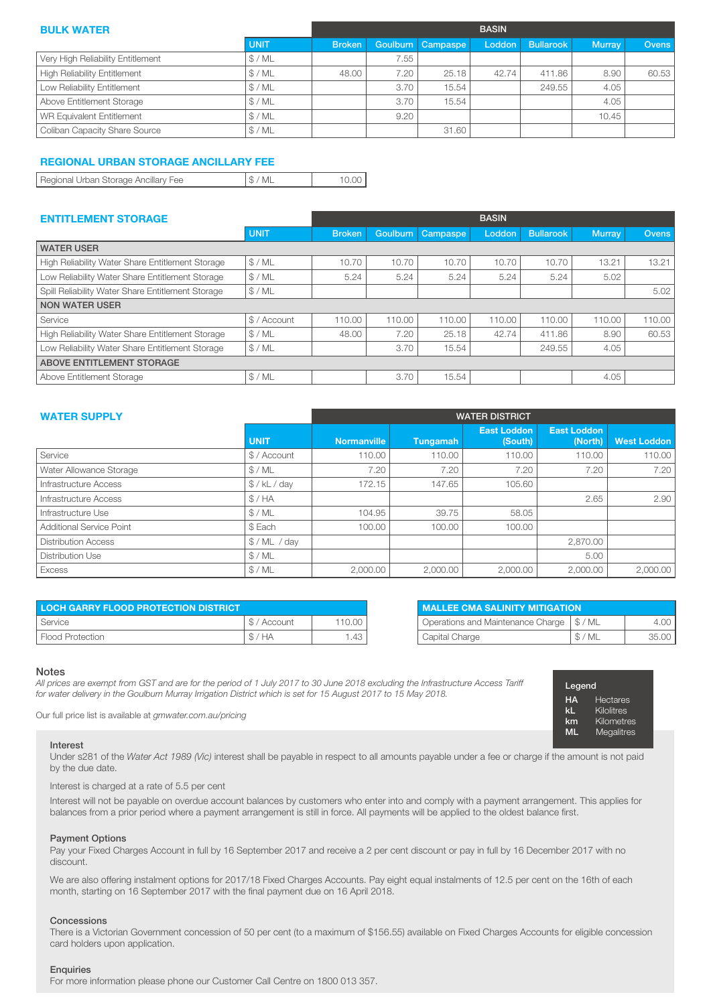| <b>BULK WATER</b>                   |             |               | <b>BASIN</b> |                   |        |                  |               |              |  |
|-------------------------------------|-------------|---------------|--------------|-------------------|--------|------------------|---------------|--------------|--|
|                                     | <b>UNIT</b> | <b>Broken</b> |              | Goulburn Campaspe | Loddon | <b>Bullarook</b> | <b>Murray</b> | <b>Ovens</b> |  |
| Very High Reliability Entitlement   | \$/ML       |               | 7.55         |                   |        |                  |               |              |  |
| <b>High Reliability Entitlement</b> | \$/ML       | 48.00         | 7.20         | 25.18             | 42.74  | 411.86           | 8.90          | 60.53        |  |
| Low Reliability Entitlement         | \$/ML       |               | 3.70         | 15.54             |        | 249.55           | 4.05          |              |  |
| Above Entitlement Storage           | \$/ML       |               | 3.70         | 15.54             |        |                  | 4.05          |              |  |
| WR Equivalent Entitlement           | \$/ML       |               | 9.20         |                   |        |                  | 10.45         |              |  |
| Coliban Capacity Share Source       | \$/ML       |               |              | 31.60             |        |                  |               |              |  |

#### REGIONAL URBAN STORAGE ANCILLARY FEE

|--|

| <b>ENTITLEMENT STORAGE</b>                        |             | <b>BASIN</b>  |                 |          |        |                  |               |        |
|---------------------------------------------------|-------------|---------------|-----------------|----------|--------|------------------|---------------|--------|
|                                                   | <b>UNIT</b> | <b>Broken</b> | <b>Goulburn</b> | Campaspe | Loddon | <b>Bullarook</b> | <b>Murray</b> | Ovens  |
| <b>WATER USER</b>                                 |             |               |                 |          |        |                  |               |        |
| High Reliability Water Share Entitlement Storage  | \$/ML       | 10.70         | 10.70           | 10.70    | 10.70  | 10.70            | 13.21         | 13.21  |
| Low Reliability Water Share Entitlement Storage   | \$/ML       | 5.24          | 5.24            | 5.24     | 5.24   | 5.24             | 5.02          |        |
| Spill Reliability Water Share Entitlement Storage | \$/ML       |               |                 |          |        |                  |               | 5.02   |
| <b>NON WATER USER</b>                             |             |               |                 |          |        |                  |               |        |
| Service                                           | \$/Account  | 110.00        | 110.00          | 110.00   | 110.00 | 110.00           | 110.00        | 110.00 |
| High Reliability Water Share Entitlement Storage  | \$/ML       | 48.00         | 7.20            | 25.18    | 42.74  | 411.86           | 8.90          | 60.53  |
| Low Reliability Water Share Entitlement Storage   | \$/ML       |               | 3.70            | 15.54    |        | 249.55           | 4.05          |        |
| <b>ABOVE ENTITLEMENT STORAGE</b>                  |             |               |                 |          |        |                  |               |        |
| Above Entitlement Storage                         | \$/ML       |               | 3.70            | 15.54    |        |                  | 4.05          |        |

| <b>WATER SUPPLY</b>        | <b>WATER DISTRICT</b> |                    |                 |                               |                               |                    |  |
|----------------------------|-----------------------|--------------------|-----------------|-------------------------------|-------------------------------|--------------------|--|
|                            | <b>UNIT</b>           | <b>Normanville</b> | <b>Tungamah</b> | <b>East Loddon</b><br>(South) | <b>East Loddon</b><br>(North) | <b>West Loddon</b> |  |
| Service                    | \$/Account            | 110.00             | 110.00          | 110.00                        | 110.00                        | 110.00             |  |
| Water Allowance Storage    | \$/ML                 | 7.20               | 7.20            | 7.20                          | 7.20                          | 7.20               |  |
| Infrastructure Access      | \$ / kL / day         | 172.15             | 147.65          | 105.60                        |                               |                    |  |
| Infrastructure Access      | \$/HA                 |                    |                 |                               | 2.65                          | 2.90               |  |
| Infrastructure Use         | \$/ML                 | 104.95             | 39.75           | 58.05                         |                               |                    |  |
| Additional Service Point   | \$ Each               | 100.00             | 100.00          | 100.00                        |                               |                    |  |
| <b>Distribution Access</b> | \$/ML / day           |                    |                 |                               | 2,870.00                      |                    |  |
| Distribution Use           | \$/ML                 |                    |                 |                               | 5.00                          |                    |  |
| <b>Excess</b>              | \$/ML                 | 2.000.00           | 2.000.00        | 2.000.00                      | 2.000.00                      | 2.000.00           |  |

| <b>LOCH GARRY FLOOD PROTECTION DISTRICT</b> |            |        |  |  |  |  |
|---------------------------------------------|------------|--------|--|--|--|--|
| Service                                     | \$/Account | 110.00 |  |  |  |  |
| ' Flood Protection                          | \$/HA      | 1.43   |  |  |  |  |

| <b>MALLEE CMA SALINITY MITIGATION</b>       |       |       |  |  |  |  |
|---------------------------------------------|-------|-------|--|--|--|--|
| Operations and Maintenance Charge   \$ / ML |       | 4.00  |  |  |  |  |
| Capital Charge                              | \$/ML | 35.00 |  |  |  |  |

Legend

**HA** Hectares<br>**kL** Kilolitres Kilolitres **km** Kilometres<br>**MI** Megalitres Megalitres

#### Notes

*All prices are exempt from GST and are for the period of 1 July 2017 to 30 June 2018 excluding the Infrastructure Access Tariff for water delivery in the Goulburn Murray Irrigation District which is set for 15 August 2017 to 15 May 2018.*

Our full price list is available at *gmwater.com.au/pricing*

#### Interest

Under s281 of the *Water Act 1989 (Vic)* interest shall be payable in respect to all amounts payable under a fee or charge if the amount is not paid by the due date.

Interest is charged at a rate of 5.5 per cent

Interest will not be payable on overdue account balances by customers who enter into and comply with a payment arrangement. This applies for balances from a prior period where a payment arrangement is still in force. All payments will be applied to the oldest balance first.

#### Payment Options

Pay your Fixed Charges Account in full by 16 September 2017 and receive a 2 per cent discount or pay in full by 16 December 2017 with no discount.

We are also offering instalment options for 2017/18 Fixed Charges Accounts. Pay eight equal instalments of 12.5 per cent on the 16th of each month, starting on 16 September 2017 with the final payment due on 16 April 2018.

#### Concessions

There is a Victorian Government concession of 50 per cent (to a maximum of \$156.55) available on Fixed Charges Accounts for eligible concession card holders upon application.

#### **Enquiries**

For more information please phone our Customer Call Centre on 1800 013 357.